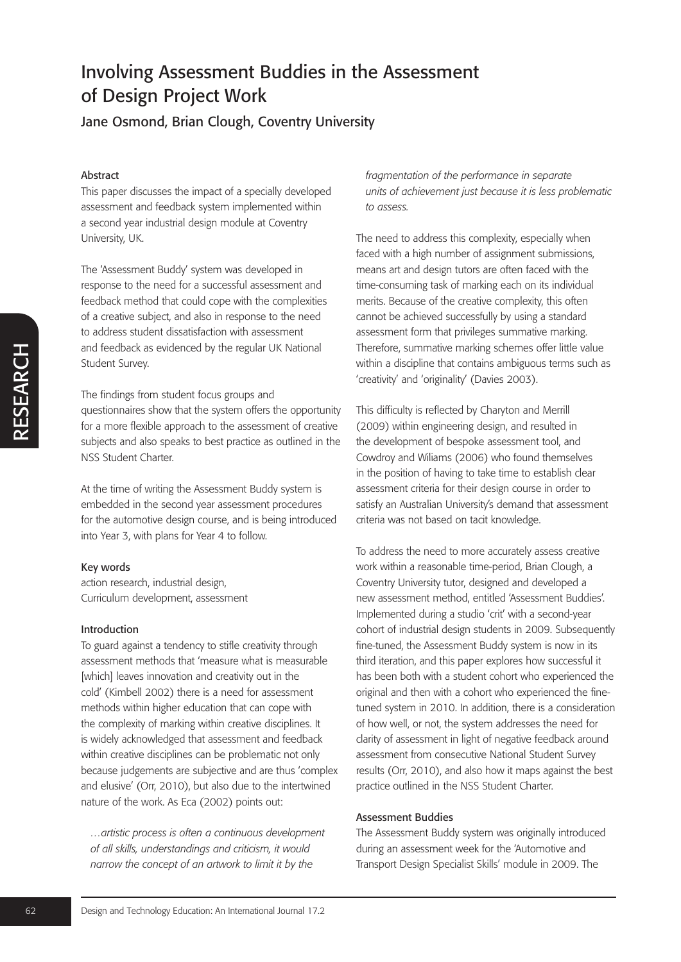Jane Osmond, Brian Clough, Coventry University

## Abstract

This paper discusses the impact of a specially developed assessment and feedback system implemented within a second year industrial design module at Coventry University, UK.

The 'Assessment Buddy' system was developed in response to the need for a successful assessment and feedback method that could cope with the complexities of a creative subject, and also in response to the need to address student dissatisfaction with assessment and feedback as evidenced by the regular UK National Student Survey.

The findings from student focus groups and questionnaires show that the system offers the opportunity for a more flexible approach to the assessment of creative subjects and also speaks to best practice as outlined in the NSS Student Charter.

At the time of writing the Assessment Buddy system is embedded in the second year assessment procedures for the automotive design course, and is being introduced into Year 3, with plans for Year 4 to follow.

### Key words

action research, industrial design, Curriculum development, assessment

### Introduction

**Example the diffusors** and the transitional Studental Sure of the findings from student focus groups and<br>
questionnaires show that the system offers the opportunity for a more flexible approach to the assessment of crea To guard against a tendency to stifle creativity through assessment methods that 'measure what is measurable [which] leaves innovation and creativity out in the cold' (Kimbell 2002) there is a need for assessment methods within higher education that can cope with the complexity of marking within creative disciplines. It is widely acknowledged that assessment and feedback within creative disciplines can be problematic not only because judgements are subjective and are thus 'complex and elusive' (Orr, 2010), but also due to the intertwined nature of the work. As Eca (2002) points out:

*…artistic process is often a continuous development of all skills, understandings and criticism, it would narrow the concept of an artwork to limit it by the* 

*fragmentation of the performance in separate units of achievement just because it is less problematic to assess.*

The need to address this complexity, especially when faced with a high number of assignment submissions, means art and design tutors are often faced with the time-consuming task of marking each on its individual merits. Because of the creative complexity, this often cannot be achieved successfully by using a standard assessment form that privileges summative marking. Therefore, summative marking schemes offer little value within a discipline that contains ambiguous terms such as 'creativity' and 'originality' (Davies 2003).

This difficulty is reflected by Charyton and Merrill (2009) within engineering design, and resulted in the development of bespoke assessment tool, and Cowdroy and Wiliams (2006) who found themselves in the position of having to take time to establish clear assessment criteria for their design course in order to satisfy an Australian University's demand that assessment criteria was not based on tacit knowledge.

To address the need to more accurately assess creative work within a reasonable time-period, Brian Clough, a Coventry University tutor, designed and developed a new assessment method, entitled 'Assessment Buddies'. Implemented during a studio 'crit' with a second-year cohort of industrial design students in 2009. Subsequently fine-tuned, the Assessment Buddy system is now in its third iteration, and this paper explores how successful it has been both with a student cohort who experienced the original and then with a cohort who experienced the finetuned system in 2010. In addition, there is a consideration of how well, or not, the system addresses the need for clarity of assessment in light of negative feedback around assessment from consecutive National Student Survey results (Orr, 2010), and also how it maps against the best practice outlined in the NSS Student Charter.

## Assessment Buddies

The Assessment Buddy system was originally introduced during an assessment week for the 'Automotive and Transport Design Specialist Skills' module in 2009. The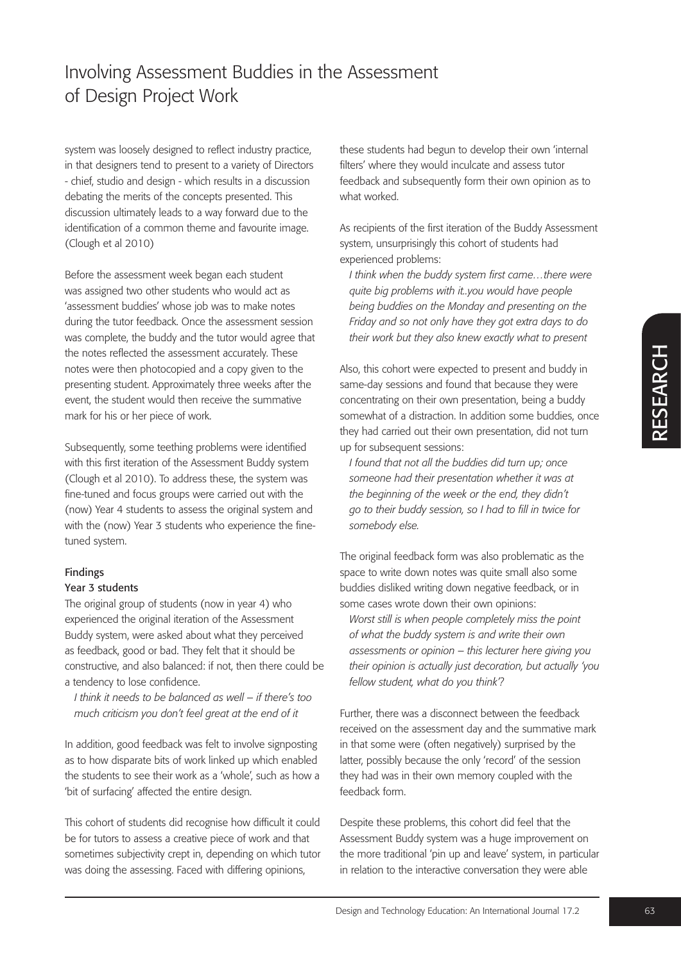system was loosely designed to reflect industry practice, in that designers tend to present to a variety of Directors - chief, studio and design - which results in a discussion debating the merits of the concepts presented. This discussion ultimately leads to a way forward due to the identification of a common theme and favourite image. (Clough et al 2010)

Before the assessment week began each student was assigned two other students who would act as 'assessment buddies' whose job was to make notes during the tutor feedback. Once the assessment session was complete, the buddy and the tutor would agree that the notes reflected the assessment accurately. These notes were then photocopied and a copy given to the presenting student. Approximately three weeks after the event, the student would then receive the summative mark for his or her piece of work.

Subsequently, some teething problems were identified with this first iteration of the Assessment Buddy system (Clough et al 2010). To address these, the system was fine-tuned and focus groups were carried out with the (now) Year 4 students to assess the original system and with the (now) Year 3 students who experience the finetuned system.

### Findings

### Year 3 students

The original group of students (now in year 4) who experienced the original iteration of the Assessment Buddy system, were asked about what they perceived as feedback, good or bad. They felt that it should be constructive, and also balanced: if not, then there could be a tendency to lose confidence.

*I think it needs to be balanced as well – if there's too much criticism you don't feel great at the end of it*

In addition, good feedback was felt to involve signposting as to how disparate bits of work linked up which enabled the students to see their work as a 'whole', such as how a 'bit of surfacing' affected the entire design.

This cohort of students did recognise how difficult it could be for tutors to assess a creative piece of work and that sometimes subjectivity crept in, depending on which tutor was doing the assessing. Faced with differing opinions,

these students had begun to develop their own 'internal filters' where they would inculcate and assess tutor feedback and subsequently form their own opinion as to what worked.

As recipients of the first iteration of the Buddy Assessment system, unsurprisingly this cohort of students had experienced problems:

*I think when the buddy system first came…there were quite big problems with it..you would have people being buddies on the Monday and presenting on the Friday and so not only have they got extra days to do their work but they also knew exactly what to present*

Also, this cohot were expected to present and buddy in<br>same-day sessions and found that because they were<br>concentrating on their own presentation, being a buddy<br>somewhat of a distanction. In additions ome buddles, once<br>th Also, this cohort were expected to present and buddy in same-day sessions and found that because they were concentrating on their own presentation, being a buddy somewhat of a distraction. In addition some buddies, once they had carried out their own presentation, did not turn up for subsequent sessions:

*I found that not all the buddies did turn up; once someone had their presentation whether it was at the beginning of the week or the end, they didn't go to their buddy session, so I had to fill in twice for somebody else.*

The original feedback form was also problematic as the space to write down notes was quite small also some buddies disliked writing down negative feedback, or in some cases wrote down their own opinions:

*Worst still is when people completely miss the point of what the buddy system is and write their own assessments or opinion – this lecturer here giving you their opinion is actually just decoration, but actually 'you fellow student, what do you think'?* 

Further, there was a disconnect between the feedback received on the assessment day and the summative mark in that some were (often negatively) surprised by the latter, possibly because the only 'record' of the session they had was in their own memory coupled with the feedback form.

Despite these problems, this cohort did feel that the Assessment Buddy system was a huge improvement on the more traditional 'pin up and leave' system, in particular in relation to the interactive conversation they were able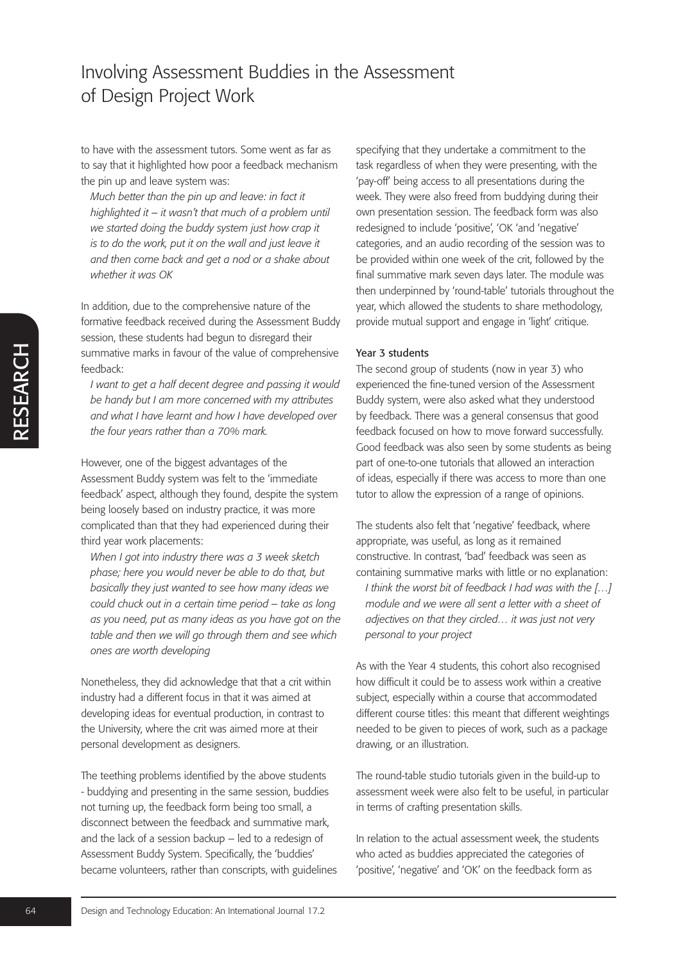to have with the assessment tutors. Some went as far as to say that it highlighted how poor a feedback mechanism the pin up and leave system was:

*Much better than the pin up and leave: in fact it highlighted it – it wasn't that much of a problem until we started doing the buddy system just how crap it is to do the work, put it on the wall and just leave it and then come back and get a nod or a shake about whether it was OK*

In addition, due to the comprehensive nature of the formative feedback received during the Assessment Buddy session, these students had begun to disregard their summative marks in favour of the value of comprehensive feedback:

*I want to get a half decent degree and passing it would be handy but I am more concerned with my attributes and what I have learnt and how I have developed over the four years rather than a 70% mark.*

However, one of the biggest advantages of the Assessment Buddy system was felt to the 'immediate feedback' aspect, although they found, despite the system being loosely based on industry practice, it was more complicated than that they had experienced during their third year work placements:

*When I got into industry there was a 3 week sketch phase; here you would never be able to do that, but basically they just wanted to see how many ideas we could chuck out in a certain time period – take as long as you need, put as many ideas as you have got on the table and then we will go through them and see which ones are worth developing*

Nonetheless, they did acknowledge that that a crit within industry had a different focus in that it was aimed at developing ideas for eventual production, in contrast to the University, where the crit was aimed more at their personal development as designers.

**Examinative marks in favour of the value of comprehensel exact that there is the follow that there learned with my attribute or the binary have learned with my attribute of the follow the learned where the the and how I f** The teething problems identified by the above students - buddying and presenting in the same session, buddies not turning up, the feedback form being too small, a disconnect between the feedback and summative mark, and the lack of a session backup – led to a redesign of Assessment Buddy System. Specifically, the 'buddies' became volunteers, rather than conscripts, with guidelines specifying that they undertake a commitment to the task regardless of when they were presenting, with the 'pay-off' being access to all presentations during the week. They were also freed from buddying during their own presentation session. The feedback form was also redesigned to include 'positive', 'OK 'and 'negative' categories, and an audio recording of the session was to be provided within one week of the crit, followed by the final summative mark seven days later. The module was then underpinned by 'round-table' tutorials throughout the year, which allowed the students to share methodology, provide mutual support and engage in 'light' critique.

#### Year 3 students

The second group of students (now in year 3) who experienced the fine-tuned version of the Assessment Buddy system, were also asked what they understood by feedback. There was a general consensus that good feedback focused on how to move forward successfully. Good feedback was also seen by some students as being part of one-to-one tutorials that allowed an interaction of ideas, especially if there was access to more than one tutor to allow the expression of a range of opinions.

The students also felt that 'negative' feedback, where appropriate, was useful, as long as it remained constructive. In contrast, 'bad' feedback was seen as containing summative marks with little or no explanation: *I think the worst bit of feedback I had was with the […] module and we were all sent a letter with a sheet of adjectives on that they circled… it was just not very personal to your project* 

As with the Year 4 students, this cohort also recognised how difficult it could be to assess work within a creative subject, especially within a course that accommodated different course titles: this meant that different weightings needed to be given to pieces of work, such as a package drawing, or an illustration.

The round-table studio tutorials given in the build-up to assessment week were also felt to be useful, in particular in terms of crafting presentation skills.

In relation to the actual assessment week, the students who acted as buddies appreciated the categories of 'positive', 'negative' and 'OK' on the feedback form as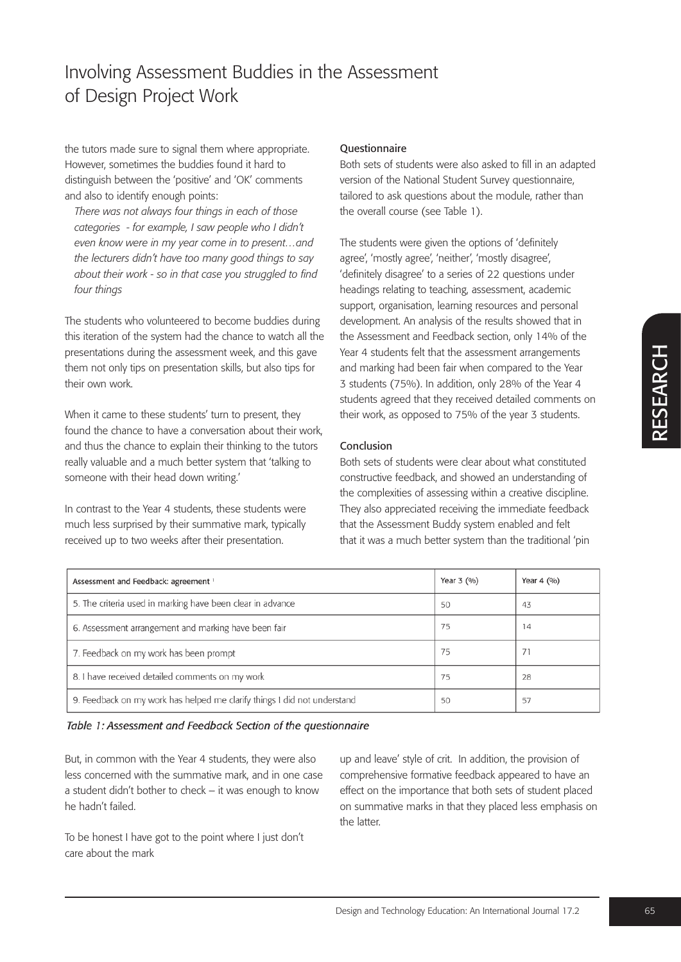the tutors made sure to signal them where appropriate. However, sometimes the buddies found it hard to distinguish between the 'positive' and 'OK' comments and also to identify enough points:

*There was not always four things in each of those categories - for example, I saw people who I didn't even know were in my year come in to present…and the lecturers didn't have too many good things to say about their work - so in that case you struggled to find four things*

The students who volunteered to become buddies during this iteration of the system had the chance to watch all the presentations during the assessment week, and this gave them not only tips on presentation skills, but also tips for their own work.

## Questionnaire

Both sets of students were also asked to fill in an adapted version of the National Student Survey questionnaire, tailored to ask questions about the module, rather than the overall course (see Table 1).

The students were given the options of 'definitely agree', 'mostly agree', 'neither', 'mostly disagree', 'definitely disagree' to a series of 22 questions under headings relating to teaching, assessment, academic support, organisation, learning resources and personal development. An analysis of the results showed that in the Assessment and Feedback section, only 14% of the Year 4 students felt that the assessment arrangements and marking had been fair when compared to the Year 3 students (75%). In addition, only 28% of the Year 4 students agreed that they received detailed comments on their work, as opposed to 75% of the year 3 students.

### Conclusion

| presentations during the assessment week, and this gave<br>them not only tips on presentation skills, but also tips for<br>their own work.                                                          | Year 4 students felt that the assessment arrangements<br>and marking had been fair when compared to the Year<br>3 students (75%). In addition, only 28% of the Year 4<br>students agreed that they received detailed comments on<br>their work, as opposed to 75% of the year 3 students. |                                                                                                                                                                                                                                            |            |    |  |  |
|-----------------------------------------------------------------------------------------------------------------------------------------------------------------------------------------------------|-------------------------------------------------------------------------------------------------------------------------------------------------------------------------------------------------------------------------------------------------------------------------------------------|--------------------------------------------------------------------------------------------------------------------------------------------------------------------------------------------------------------------------------------------|------------|----|--|--|
| When it came to these students' turn to present, they<br>found the chance to have a conversation about their work,                                                                                  |                                                                                                                                                                                                                                                                                           |                                                                                                                                                                                                                                            |            |    |  |  |
| and thus the chance to explain their thinking to the tutors<br>really valuable and a much better system that 'talking to<br>someone with their head down writing.'                                  | Conclusion<br>Both sets of students were clear about what constituted<br>constructive feedback, and showed an understanding of<br>the complexities of assessing within a creative discipline.                                                                                             |                                                                                                                                                                                                                                            |            |    |  |  |
| In contrast to the Year 4 students, these students were<br>much less surprised by their summative mark, typically<br>received up to two weeks after their presentation.                             | They also appreciated receiving the immediate feedback<br>that the Assessment Buddy system enabled and felt<br>that it was a much better system than the traditional 'pin                                                                                                                 |                                                                                                                                                                                                                                            |            |    |  |  |
| Assessment and Feedback: agreement 1                                                                                                                                                                |                                                                                                                                                                                                                                                                                           | Year 3 (%)                                                                                                                                                                                                                                 | Year 4 (%) |    |  |  |
| 5. The criteria used in marking have been clear in advance                                                                                                                                          |                                                                                                                                                                                                                                                                                           | 50                                                                                                                                                                                                                                         | 43         |    |  |  |
| 6. Assessment arrangement and marking have been fair                                                                                                                                                |                                                                                                                                                                                                                                                                                           | 75                                                                                                                                                                                                                                         | 14         |    |  |  |
| 7. Feedback on my work has been prompt                                                                                                                                                              |                                                                                                                                                                                                                                                                                           | 75<br>75                                                                                                                                                                                                                                   | 71         |    |  |  |
| 8. I have received detailed comments on my work                                                                                                                                                     |                                                                                                                                                                                                                                                                                           |                                                                                                                                                                                                                                            | 28         |    |  |  |
| 9. Feedback on my work has helped me clarify things I did not understand                                                                                                                            |                                                                                                                                                                                                                                                                                           | 50                                                                                                                                                                                                                                         | 57         |    |  |  |
| Table 1: Assessment and Feedback Section of the questionnaire                                                                                                                                       |                                                                                                                                                                                                                                                                                           |                                                                                                                                                                                                                                            |            |    |  |  |
| But, in common with the Year 4 students, they were also<br>less concerned with the summative mark, and in one case<br>a student didn't bother to check - it was enough to know<br>he hadn't failed. | the latter.                                                                                                                                                                                                                                                                               | up and leave' style of crit. In addition, the provision of<br>comprehensive formative feedback appeared to have an<br>effect on the importance that both sets of student placed<br>on summative marks in that they placed less emphasis on |            |    |  |  |
| To be honest I have got to the point where I just don't<br>care about the mark                                                                                                                      |                                                                                                                                                                                                                                                                                           |                                                                                                                                                                                                                                            |            |    |  |  |
|                                                                                                                                                                                                     | Design and Technology Education: An International Journal 17.2                                                                                                                                                                                                                            |                                                                                                                                                                                                                                            |            | 65 |  |  |

| Table 1: Assessment and Feedback Section of the questionnaire |  |  |  |  |  |
|---------------------------------------------------------------|--|--|--|--|--|
|---------------------------------------------------------------|--|--|--|--|--|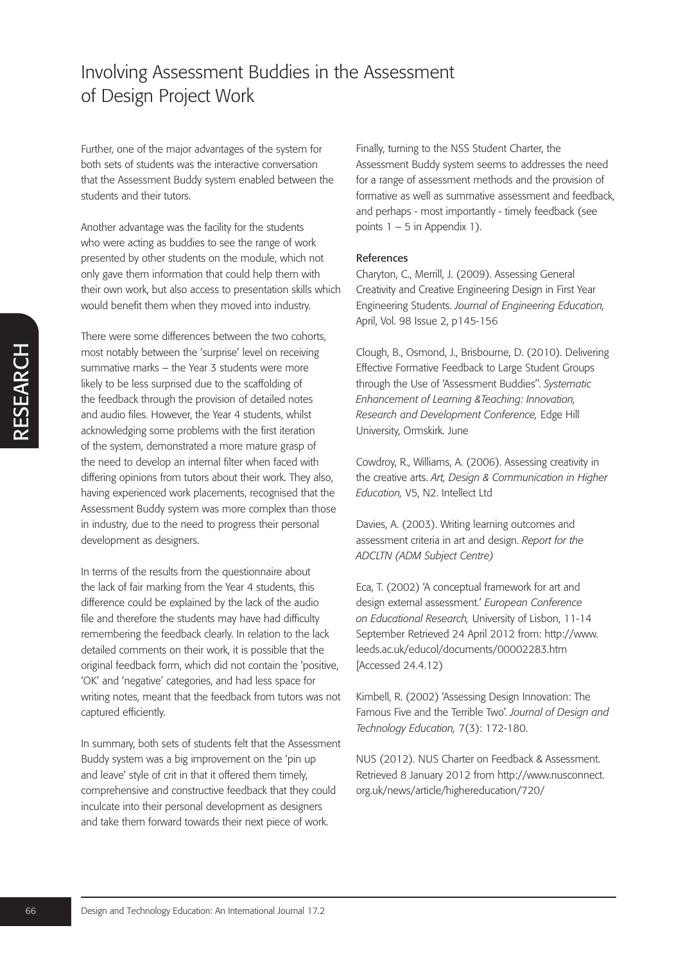Further, one of the major advantages of the system for both sets of students was the interactive conversation that the Assessment Buddy system enabled between the students and their tutors.

Another advantage was the facility for the students who were acting as buddies to see the range of work presented by other students on the module, which not only gave them information that could help them with their own work, but also access to presentation skills which would benefit them when they moved into industry.

Francential symptonic entropy surmative marks - the Year 3 surfacets were more<br>surmanitive marks - the Year 3 surfacet and the scalifording of<br>the feedback through the provision of detailed notes<br>and aution files. However, There were some differences between the two cohorts, most notably between the 'surprise' level on receiving summative marks – the Year 3 students were more likely to be less surprised due to the scaffolding of the feedback through the provision of detailed notes and audio files. However, the Year 4 students, whilst acknowledging some problems with the first iteration of the system, demonstrated a more mature grasp of the need to develop an internal filter when faced with differing opinions from tutors about their work. They also, having experienced work placements, recognised that the Assessment Buddy system was more complex than those in industry, due to the need to progress their personal development as designers.

In terms of the results from the questionnaire about the lack of fair marking from the Year 4 students, this difference could be explained by the lack of the audio file and therefore the students may have had difficulty remembering the feedback clearly. In relation to the lack detailed comments on their work, it is possible that the original feedback form, which did not contain the 'positive, 'OK' and 'negative' categories, and had less space for writing notes, meant that the feedback from tutors was not captured efficiently.

In summary, both sets of students felt that the Assessment Buddy system was a big improvement on the 'pin up and leave' style of crit in that it offered them timely, comprehensive and constructive feedback that they could inculcate into their personal development as designers and take them forward towards their next piece of work.

Finally, turning to the NSS Student Charter, the Assessment Buddy system seems to addresses the need for a range of assessment methods and the provision of formative as well as summative assessment and feedback, and perhaps - most importantly - timely feedback (see points  $1 - 5$  in Appendix 1).

### References

Charyton, C., Merrill, J. (2009). Assessing General Creativity and Creative Engineering Design in First Year Engineering Students. *Journal of Engineering Education,* April, Vol. 98 Issue 2, p145-156

Clough, B., Osmond, J., Brisbourne, D. (2010). Delivering Effective Formative Feedback to Large Student Groups through the Use of 'Assessment Buddies''. *Systematic Enhancement of Learning &Teaching: Innovation, Research and Development Conference,* Edge Hill University, Ormskirk. June

Cowdroy, R., Williams, A. (2006). Assessing creativity in the creative arts. *Art, Design & Communication in Higher Education,* V5, N2. Intellect Ltd

Davies, A. (2003). Writing learning outcomes and assessment criteria in art and design. *Report for the ADCLTN (ADM Subject Centre)*

Eca, T. (2002) 'A conceptual framework for art and design external assessment.' *European Conference on Educational Research,* University of Lisbon, 11-14 September Retrieved 24 April 2012 from: http://www. leeds.ac.uk/educol/documents/00002283.htm [Accessed 24.4.12)

Kimbell, R. (2002) 'Assessing Design Innovation: The Famous Five and the Terrible Two'. *Journal of Design and Technology Education,* 7(3): 172-180.

NUS (2012). NUS Charter on Feedback & Assessment. Retrieved 8 January 2012 from http://www.nusconnect. org.uk/news/article/highereducation/720/